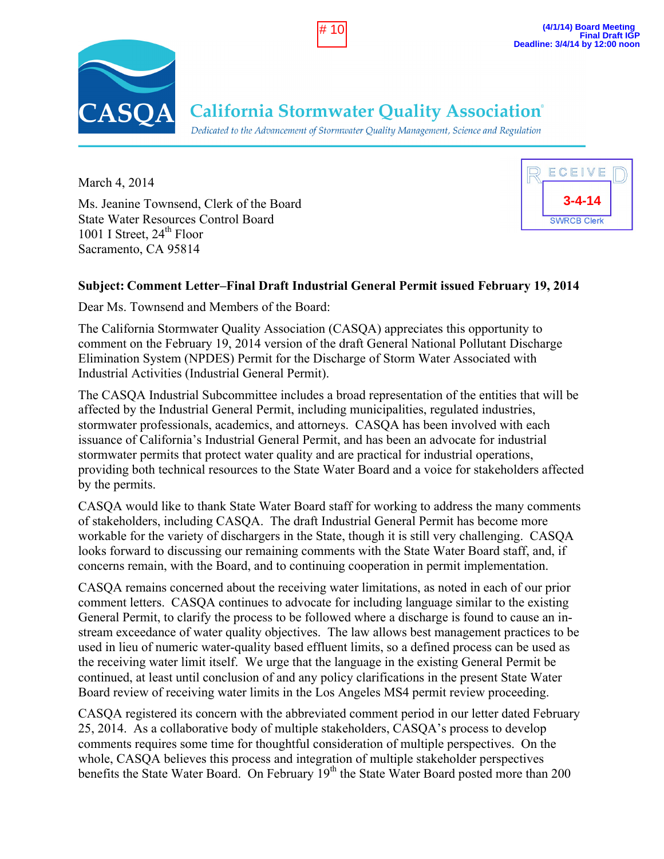



**California Stormwater Quality Association**®

Dedicated to the Advancement of Stormwater Quality Management, Science and Regulation

March 4, 2014 Ms. Jeanine Townsend, Clerk of the Board State Water Resources Control Board 1001 I Street,  $24<sup>th</sup>$  Floor Sacramento, CA 95814



# **Subject: Comment Letter–Final Draft Industrial General Permit issued February 19, 2014**

Dear Ms. Townsend and Members of the Board:

The California Stormwater Quality Association (CASQA) appreciates this opportunity to comment on the February 19, 2014 version of the draft General National Pollutant Discharge Elimination System (NPDES) Permit for the Discharge of Storm Water Associated with Industrial Activities (Industrial General Permit).

The CASQA Industrial Subcommittee includes a broad representation of the entities that will be affected by the Industrial General Permit, including municipalities, regulated industries, stormwater professionals, academics, and attorneys. CASQA has been involved with each issuance of California's Industrial General Permit, and has been an advocate for industrial stormwater permits that protect water quality and are practical for industrial operations, providing both technical resources to the State Water Board and a voice for stakeholders affected by the permits.

CASQA would like to thank State Water Board staff for working to address the many comments of stakeholders, including CASQA. The draft Industrial General Permit has become more workable for the variety of dischargers in the State, though it is still very challenging. CASQA looks forward to discussing our remaining comments with the State Water Board staff, and, if concerns remain, with the Board, and to continuing cooperation in permit implementation.

CASQA remains concerned about the receiving water limitations, as noted in each of our prior comment letters. CASQA continues to advocate for including language similar to the existing General Permit, to clarify the process to be followed where a discharge is found to cause an instream exceedance of water quality objectives. The law allows best management practices to be used in lieu of numeric water-quality based effluent limits, so a defined process can be used as the receiving water limit itself. We urge that the language in the existing General Permit be continued, at least until conclusion of and any policy clarifications in the present State Water Board review of receiving water limits in the Los Angeles MS4 permit review proceeding.

CASQA registered its concern with the abbreviated comment period in our letter dated February 25, 2014. As a collaborative body of multiple stakeholders, CASQA's process to develop comments requires some time for thoughtful consideration of multiple perspectives. On the whole, CASQA believes this process and integration of multiple stakeholder perspectives benefits the State Water Board. On February 19<sup>th</sup> the State Water Board posted more than 200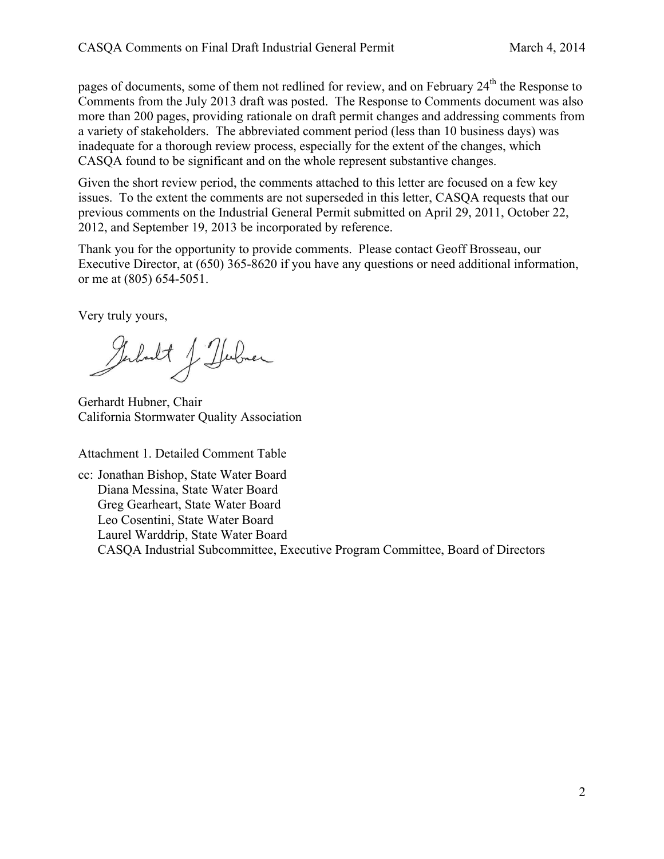pages of documents, some of them not redlined for review, and on February 24<sup>th</sup> the Response to Comments from the July 2013 draft was posted. The Response to Comments document was also more than 200 pages, providing rationale on draft permit changes and addressing comments from a variety of stakeholders. The abbreviated comment period (less than 10 business days) was inadequate for a thorough review process, especially for the extent of the changes, which CASQA found to be significant and on the whole represent substantive changes.

Given the short review period, the comments attached to this letter are focused on a few key issues. To the extent the comments are not superseded in this letter, CASQA requests that our previous comments on the Industrial General Permit submitted on April 29, 2011, October 22, 2012, and September 19, 2013 be incorporated by reference.

Thank you for the opportunity to provide comments. Please contact Geoff Brosseau, our Executive Director, at (650) 365-8620 if you have any questions or need additional information, or me at (805) 654-5051.

Very truly yours,

Gerhardt J. Herbner

Gerhardt Hubner, Chair California Stormwater Quality Association

Attachment 1. Detailed Comment Table

cc: Jonathan Bishop, State Water Board Diana Messina, State Water Board Greg Gearheart, State Water Board Leo Cosentini, State Water Board Laurel Warddrip, State Water Board CASQA Industrial Subcommittee, Executive Program Committee, Board of Directors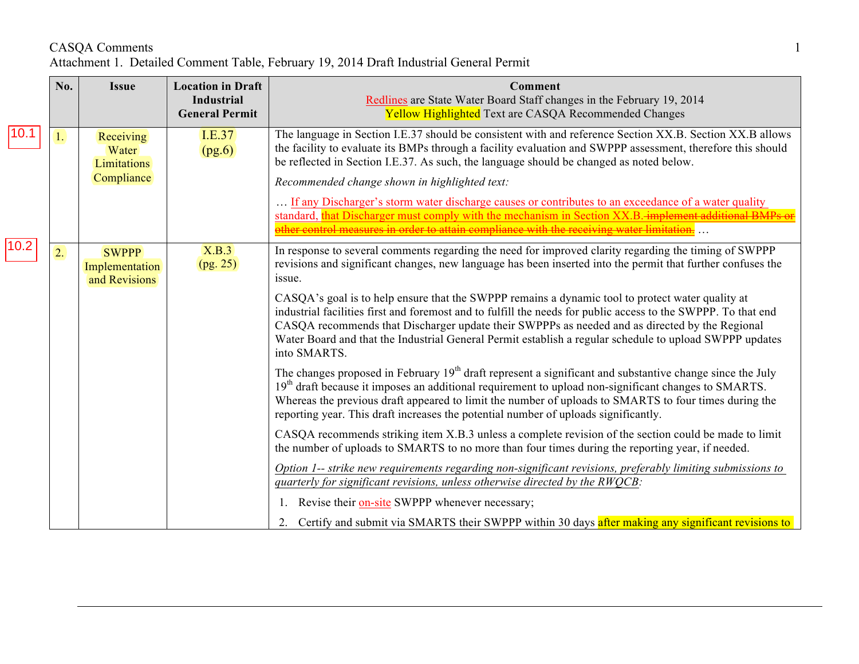#### CASQA Comments 1 Attachment 1. Detailed Comment Table, February 19, 2014 Draft Industrial General Permit

|      | No. | <b>Issue</b>                                           | <b>Location in Draft</b><br><b>Industrial</b><br><b>General Permit</b> | <b>Comment</b><br>Redlines are State Water Board Staff changes in the February 19, 2014<br><b>Yellow Highlighted</b> Text are CASQA Recommended Changes                                                                                                                                                                                                                                                                                        |
|------|-----|--------------------------------------------------------|------------------------------------------------------------------------|------------------------------------------------------------------------------------------------------------------------------------------------------------------------------------------------------------------------------------------------------------------------------------------------------------------------------------------------------------------------------------------------------------------------------------------------|
|      | 1.  | Receiving<br>Water<br><b>Limitations</b><br>Compliance | I.E.37<br>(pg.6)                                                       | The language in Section I.E.37 should be consistent with and reference Section XX.B. Section XX.B allows<br>the facility to evaluate its BMPs through a facility evaluation and SWPPP assessment, therefore this should<br>be reflected in Section I.E.37. As such, the language should be changed as noted below.                                                                                                                             |
|      |     |                                                        |                                                                        | Recommended change shown in highlighted text:                                                                                                                                                                                                                                                                                                                                                                                                  |
|      |     |                                                        |                                                                        | If any Discharger's storm water discharge causes or contributes to an exceedance of a water quality<br>standard, that Discharger must comply with the mechanism in Section XX.B. implement additional BMPs of<br>recovering the course in order to attain compliance with the receiving water limitation.                                                                                                                                      |
| 10.2 | 2.  | <b>SWPPP</b><br>Implementation<br>and Revisions        | X.B.3<br>(pg. 25)                                                      | In response to several comments regarding the need for improved clarity regarding the timing of SWPPP<br>revisions and significant changes, new language has been inserted into the permit that further confuses the<br>issue.                                                                                                                                                                                                                 |
|      |     |                                                        |                                                                        | CASQA's goal is to help ensure that the SWPPP remains a dynamic tool to protect water quality at<br>industrial facilities first and foremost and to fulfill the needs for public access to the SWPPP. To that end<br>CASQA recommends that Discharger update their SWPPPs as needed and as directed by the Regional<br>Water Board and that the Industrial General Permit establish a regular schedule to upload SWPPP updates<br>into SMARTS. |
|      |     |                                                        |                                                                        | The changes proposed in February 19 <sup>th</sup> draft represent a significant and substantive change since the July<br>19 <sup>th</sup> draft because it imposes an additional requirement to upload non-significant changes to SMARTS.<br>Whereas the previous draft appeared to limit the number of uploads to SMARTS to four times during the<br>reporting year. This draft increases the potential number of uploads significantly.      |
|      |     |                                                        |                                                                        | CASQA recommends striking item X.B.3 unless a complete revision of the section could be made to limit<br>the number of uploads to SMARTS to no more than four times during the reporting year, if needed.                                                                                                                                                                                                                                      |
|      |     |                                                        |                                                                        | Option 1-- strike new requirements regarding non-significant revisions, preferably limiting submissions to<br>quarterly for significant revisions, unless otherwise directed by the RWOCB:                                                                                                                                                                                                                                                     |
|      |     |                                                        |                                                                        | 1. Revise their on-site SWPPP whenever necessary;                                                                                                                                                                                                                                                                                                                                                                                              |
|      |     |                                                        |                                                                        | 2. Certify and submit via SMARTS their SWPPP within 30 days after making any significant revisions to                                                                                                                                                                                                                                                                                                                                          |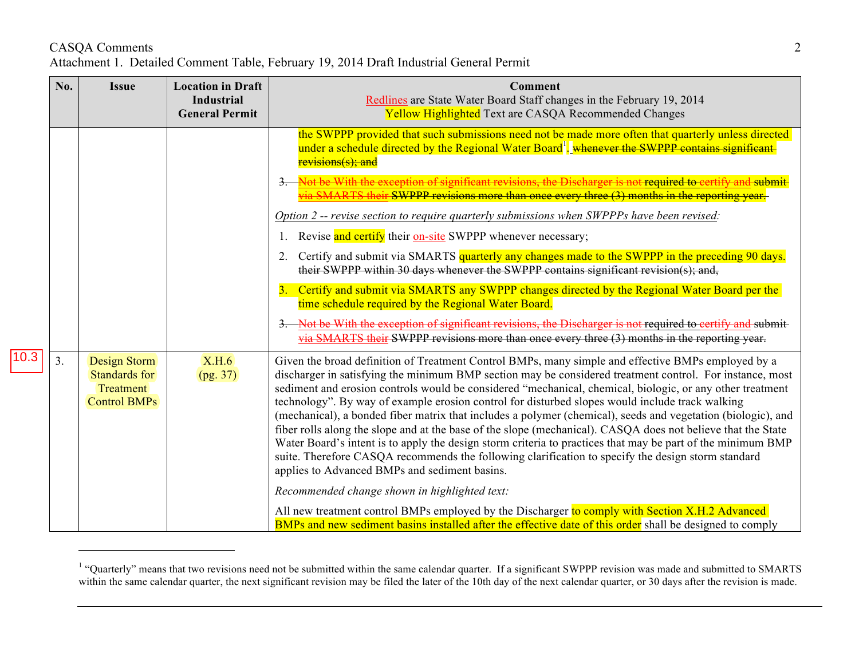# CASQA Comments 2 Attachment 1. Detailed Comment Table, February 19, 2014 Draft Industrial General Permit

<u>.</u>

|      | No. | <b>Issue</b>                                                      | <b>Location in Draft</b><br><b>Industrial</b><br><b>General Permit</b> | <b>Comment</b><br>Redlines are State Water Board Staff changes in the February 19, 2014<br><b>Yellow Highlighted</b> Text are CASQA Recommended Changes                                                                                                                                                                                                                                                                                                                                                                                                                                                                                                                                                                                                                                                                                                                                                                              |
|------|-----|-------------------------------------------------------------------|------------------------------------------------------------------------|--------------------------------------------------------------------------------------------------------------------------------------------------------------------------------------------------------------------------------------------------------------------------------------------------------------------------------------------------------------------------------------------------------------------------------------------------------------------------------------------------------------------------------------------------------------------------------------------------------------------------------------------------------------------------------------------------------------------------------------------------------------------------------------------------------------------------------------------------------------------------------------------------------------------------------------|
|      |     |                                                                   |                                                                        | the SWPPP provided that such submissions need not be made more often that quarterly unless directed<br>under a schedule directed by the Regional Water Board <sup>1</sup> . whenever the SWPPP contains significant-<br>revisions(s); and                                                                                                                                                                                                                                                                                                                                                                                                                                                                                                                                                                                                                                                                                            |
|      |     |                                                                   |                                                                        | be With the exception of significant revisions, the Discharger is not required to certify<br>via SMARTS their SWPPP revisions more than once every three (3) months in the reporting year.                                                                                                                                                                                                                                                                                                                                                                                                                                                                                                                                                                                                                                                                                                                                           |
|      |     |                                                                   |                                                                        | Option 2 -- revise section to require quarterly submissions when SWPPPs have been revised:                                                                                                                                                                                                                                                                                                                                                                                                                                                                                                                                                                                                                                                                                                                                                                                                                                           |
|      |     |                                                                   |                                                                        | Revise and certify their on-site SWPPP whenever necessary;                                                                                                                                                                                                                                                                                                                                                                                                                                                                                                                                                                                                                                                                                                                                                                                                                                                                           |
| 10.3 |     |                                                                   |                                                                        | Certify and submit via SMARTS quarterly any changes made to the SWPPP in the preceding 90 days.<br>2.<br>their SWPPP within 30 days whenever the SWPPP contains significant revision(s); and,                                                                                                                                                                                                                                                                                                                                                                                                                                                                                                                                                                                                                                                                                                                                        |
|      |     |                                                                   |                                                                        | Certify and submit via SMARTS any SWPPP changes directed by the Regional Water Board per the<br>$\overline{3}$<br>time schedule required by the Regional Water Board.                                                                                                                                                                                                                                                                                                                                                                                                                                                                                                                                                                                                                                                                                                                                                                |
|      |     |                                                                   |                                                                        | Not be With the exception of significant revisions, the Discharger is not required to certify and submit<br>via SMARTS their SWPPP revisions more than once every three (3) months in the reporting year.                                                                                                                                                                                                                                                                                                                                                                                                                                                                                                                                                                                                                                                                                                                            |
|      | 3.  | Design Storm<br>Standards for<br>Treatment<br><b>Control BMPs</b> | X.H.6<br>(pg. 37)                                                      | Given the broad definition of Treatment Control BMPs, many simple and effective BMPs employed by a<br>discharger in satisfying the minimum BMP section may be considered treatment control. For instance, most<br>sediment and erosion controls would be considered "mechanical, chemical, biologic, or any other treatment<br>technology". By way of example erosion control for disturbed slopes would include track walking<br>(mechanical), a bonded fiber matrix that includes a polymer (chemical), seeds and vegetation (biologic), and<br>fiber rolls along the slope and at the base of the slope (mechanical). CASQA does not believe that the State<br>Water Board's intent is to apply the design storm criteria to practices that may be part of the minimum BMP<br>suite. Therefore CASQA recommends the following clarification to specify the design storm standard<br>applies to Advanced BMPs and sediment basins. |
|      |     |                                                                   |                                                                        | Recommended change shown in highlighted text:                                                                                                                                                                                                                                                                                                                                                                                                                                                                                                                                                                                                                                                                                                                                                                                                                                                                                        |
|      |     |                                                                   |                                                                        | All new treatment control BMPs employed by the Discharger to comply with Section X.H.2 Advanced<br>BMPs and new sediment basins installed after the effective date of this order shall be designed to comply                                                                                                                                                                                                                                                                                                                                                                                                                                                                                                                                                                                                                                                                                                                         |

<sup>&</sup>lt;sup>1</sup> "Quarterly" means that two revisions need not be submitted within the same calendar quarter. If a significant SWPPP revision was made and submitted to SMARTS within the same calendar quarter, the next significant revision may be filed the later of the 10th day of the next calendar quarter, or 30 days after the revision is made.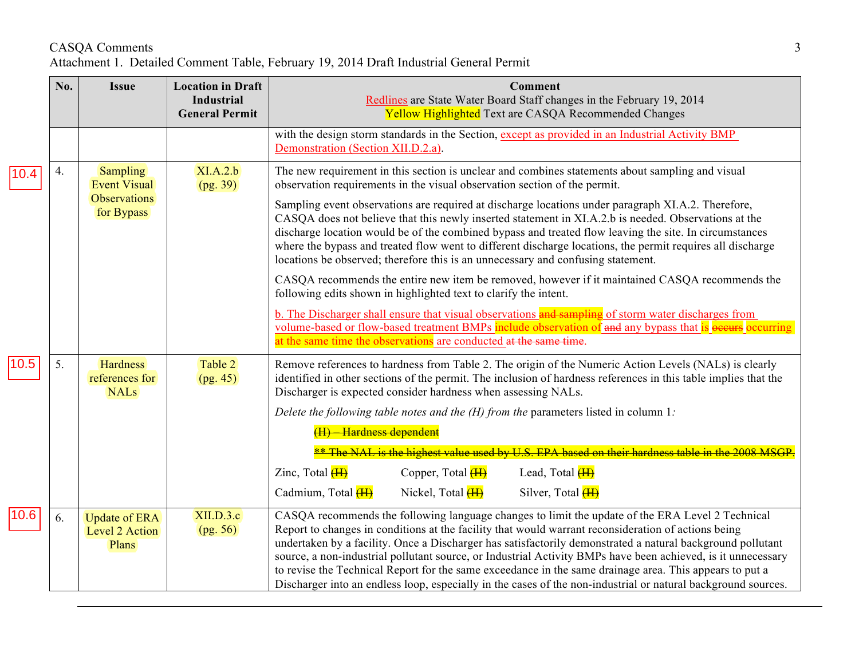## CASQA Comments 3 Attachment 1. Detailed Comment Table, February 19, 2014 Draft Industrial General Permit

|      | No. | <b>Issue</b>                                                         | <b>Location in Draft</b><br><b>Industrial</b><br><b>General Permit</b> | <b>Comment</b><br>Redlines are State Water Board Staff changes in the February 19, 2014<br><b>Yellow Highlighted</b> Text are CASQA Recommended Changes                                                                                                                                                                                                                                                                                                                                                                                                                                                                                                                                                                                                                                                   |
|------|-----|----------------------------------------------------------------------|------------------------------------------------------------------------|-----------------------------------------------------------------------------------------------------------------------------------------------------------------------------------------------------------------------------------------------------------------------------------------------------------------------------------------------------------------------------------------------------------------------------------------------------------------------------------------------------------------------------------------------------------------------------------------------------------------------------------------------------------------------------------------------------------------------------------------------------------------------------------------------------------|
|      |     |                                                                      |                                                                        | with the design storm standards in the Section, except as provided in an Industrial Activity BMP<br>Demonstration (Section XII.D.2.a).                                                                                                                                                                                                                                                                                                                                                                                                                                                                                                                                                                                                                                                                    |
| 10.4 | 4.  | <b>Sampling</b><br><b>Event Visual</b><br>Observations<br>for Bypass | XI.A.2.b<br>(pg. 39)                                                   | The new requirement in this section is unclear and combines statements about sampling and visual<br>observation requirements in the visual observation section of the permit.<br>Sampling event observations are required at discharge locations under paragraph XI.A.2. Therefore,<br>CASQA does not believe that this newly inserted statement in XI.A.2.b is needed. Observations at the<br>discharge location would be of the combined bypass and treated flow leaving the site. In circumstances<br>where the bypass and treated flow went to different discharge locations, the permit requires all discharge<br>locations be observed; therefore this is an unnecessary and confusing statement.<br>CASQA recommends the entire new item be removed, however if it maintained CASQA recommends the |
|      |     |                                                                      |                                                                        | following edits shown in highlighted text to clarify the intent.<br>b. The Discharger shall ensure that visual observations and sampling of storm water discharges from<br>volume-based or flow-based treatment BMPs include observation of and any bypass that is <b>ecurring</b><br>at the same time the observations are conducted at the same time.                                                                                                                                                                                                                                                                                                                                                                                                                                                   |
| 10.5 | 5.  | <b>Hardness</b><br>references for<br><b>NALs</b>                     | Table 2<br>(pg. 45)                                                    | Remove references to hardness from Table 2. The origin of the Numeric Action Levels (NALs) is clearly<br>identified in other sections of the permit. The inclusion of hardness references in this table implies that the<br>Discharger is expected consider hardness when assessing NALs.<br>Delete the following table notes and the $(H)$ from the parameters listed in column 1:<br>(H) Hardness dependent                                                                                                                                                                                                                                                                                                                                                                                             |
|      |     |                                                                      |                                                                        | ** The NAL is the highest value used by U.S. EPA based on their hardness table in the 2008 MS<br>Zinc, Total $(H)$<br>Copper, Total <b>(H)</b><br>Lead, Total <b>(H)</b>                                                                                                                                                                                                                                                                                                                                                                                                                                                                                                                                                                                                                                  |
|      |     |                                                                      |                                                                        | Cadmium, Total (H)<br>Nickel, Total <b>(H)</b><br>Silver, Total <b>(H)</b>                                                                                                                                                                                                                                                                                                                                                                                                                                                                                                                                                                                                                                                                                                                                |
| 10.6 | 6.  | <b>Update of ERA</b><br>Level 2 Action<br>Plans                      | XII.D.3.c<br>(pg. 56)                                                  | CASQA recommends the following language changes to limit the update of the ERA Level 2 Technical<br>Report to changes in conditions at the facility that would warrant reconsideration of actions being<br>undertaken by a facility. Once a Discharger has satisfactorily demonstrated a natural background pollutant<br>source, a non-industrial pollutant source, or Industrial Activity BMPs have been achieved, is it unnecessary<br>to revise the Technical Report for the same exceedance in the same drainage area. This appears to put a<br>Discharger into an endless loop, especially in the cases of the non-industrial or natural background sources.                                                                                                                                         |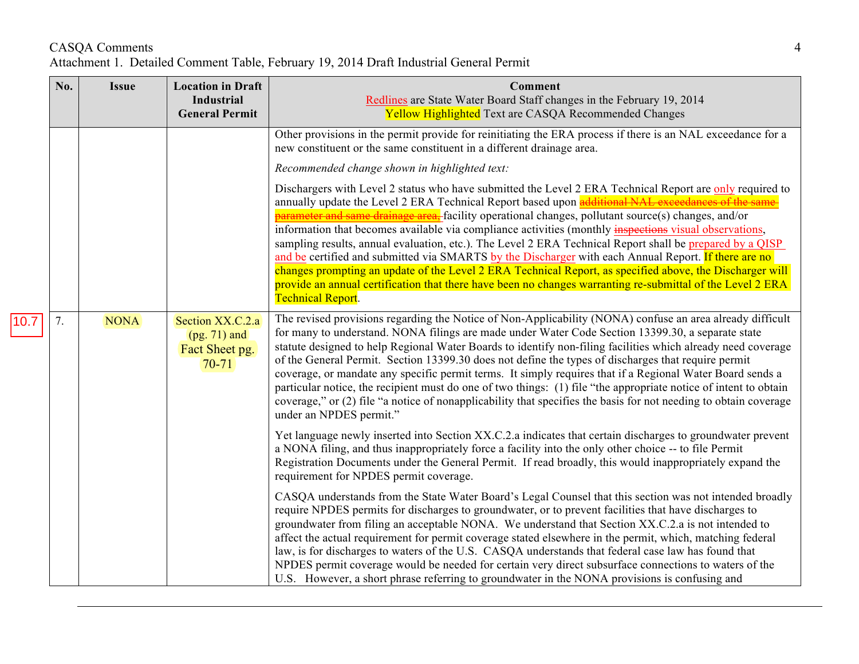## CASQA Comments 4 Attachment 1. Detailed Comment Table, February 19, 2014 Draft Industrial General Permit

|      | No. | <b>Issue</b> | <b>Location in Draft</b><br><b>Industrial</b><br><b>General Permit</b> | Comment<br>Redlines are State Water Board Staff changes in the February 19, 2014<br><b>Yellow Highlighted</b> Text are CASQA Recommended Changes                                                                                                                                                                                                                                                                                                                                                                                                                                                                                                                                                                                                                                                                                                                                                                         |
|------|-----|--------------|------------------------------------------------------------------------|--------------------------------------------------------------------------------------------------------------------------------------------------------------------------------------------------------------------------------------------------------------------------------------------------------------------------------------------------------------------------------------------------------------------------------------------------------------------------------------------------------------------------------------------------------------------------------------------------------------------------------------------------------------------------------------------------------------------------------------------------------------------------------------------------------------------------------------------------------------------------------------------------------------------------|
|      |     |              |                                                                        | Other provisions in the permit provide for reinitiating the ERA process if there is an NAL exceedance for a<br>new constituent or the same constituent in a different drainage area.                                                                                                                                                                                                                                                                                                                                                                                                                                                                                                                                                                                                                                                                                                                                     |
|      |     |              |                                                                        | Recommended change shown in highlighted text:                                                                                                                                                                                                                                                                                                                                                                                                                                                                                                                                                                                                                                                                                                                                                                                                                                                                            |
|      |     |              |                                                                        | Dischargers with Level 2 status who have submitted the Level 2 ERA Technical Report are only required to<br>annually update the Level 2 ERA Technical Report based upon additional NAL exceedances of the same-<br><sub>t</sub> -facility operational changes, pollutant source(s) changes, and/or<br>parameter and same drainage ar<br>information that becomes available via compliance activities (monthly inspections visual observations,<br>sampling results, annual evaluation, etc.). The Level 2 ERA Technical Report shall be prepared by a QISP<br>and be certified and submitted via SMARTS by the Discharger with each Annual Report. If there are no<br>changes prompting an update of the Level 2 ERA Technical Report, as specified above, the Discharger will<br>provide an annual certification that there have been no changes warranting re-submittal of the Level 2 ERA<br><b>Technical Report.</b> |
| 10.7 | 7.  | <b>NONA</b>  | Section XX.C.2.a<br>$(pg. 71)$ and<br>Fact Sheet pg.<br>$70-71$        | The revised provisions regarding the Notice of Non-Applicability (NONA) confuse an area already difficult<br>for many to understand. NONA filings are made under Water Code Section 13399.30, a separate state<br>statute designed to help Regional Water Boards to identify non-filing facilities which already need coverage<br>of the General Permit. Section 13399.30 does not define the types of discharges that require permit<br>coverage, or mandate any specific permit terms. It simply requires that if a Regional Water Board sends a<br>particular notice, the recipient must do one of two things: (1) file "the appropriate notice of intent to obtain<br>coverage," or (2) file "a notice of nonapplicability that specifies the basis for not needing to obtain coverage<br>under an NPDES permit."                                                                                                    |
|      |     |              |                                                                        | Yet language newly inserted into Section XX.C.2.a indicates that certain discharges to groundwater prevent<br>a NONA filing, and thus inappropriately force a facility into the only other choice -- to file Permit<br>Registration Documents under the General Permit. If read broadly, this would inappropriately expand the<br>requirement for NPDES permit coverage.                                                                                                                                                                                                                                                                                                                                                                                                                                                                                                                                                 |
|      |     |              |                                                                        | CASQA understands from the State Water Board's Legal Counsel that this section was not intended broadly<br>require NPDES permits for discharges to groundwater, or to prevent facilities that have discharges to<br>groundwater from filing an acceptable NONA. We understand that Section XX.C.2.a is not intended to<br>affect the actual requirement for permit coverage stated elsewhere in the permit, which, matching federal<br>law, is for discharges to waters of the U.S. CASQA understands that federal case law has found that<br>NPDES permit coverage would be needed for certain very direct subsurface connections to waters of the<br>U.S. However, a short phrase referring to groundwater in the NONA provisions is confusing and                                                                                                                                                                     |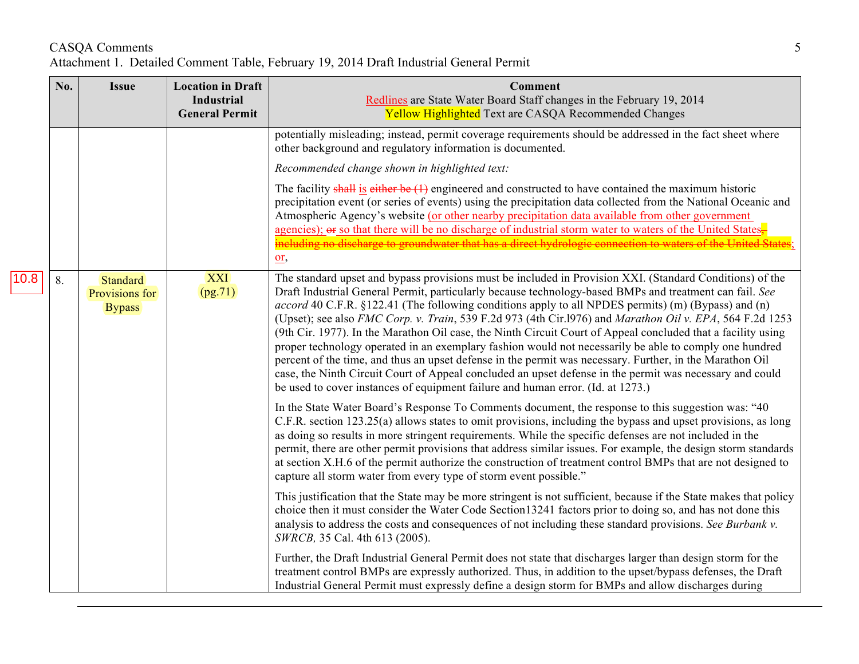## CASQA Comments 5 Attachment 1. Detailed Comment Table, February 19, 2014 Draft Industrial General Permit

|      | No. | <b>Issue</b>                                | <b>Location in Draft</b><br><b>Industrial</b><br><b>General Permit</b> | <b>Comment</b><br>Redlines are State Water Board Staff changes in the February 19, 2014<br><b>Yellow Highlighted</b> Text are CASQA Recommended Changes                                                                                                                                                                                                                                                                                                                                                                                                                                                                                                                                                                                                                                                                                                                                                                                                                     |
|------|-----|---------------------------------------------|------------------------------------------------------------------------|-----------------------------------------------------------------------------------------------------------------------------------------------------------------------------------------------------------------------------------------------------------------------------------------------------------------------------------------------------------------------------------------------------------------------------------------------------------------------------------------------------------------------------------------------------------------------------------------------------------------------------------------------------------------------------------------------------------------------------------------------------------------------------------------------------------------------------------------------------------------------------------------------------------------------------------------------------------------------------|
|      |     |                                             |                                                                        | potentially misleading; instead, permit coverage requirements should be addressed in the fact sheet where<br>other background and regulatory information is documented.                                                                                                                                                                                                                                                                                                                                                                                                                                                                                                                                                                                                                                                                                                                                                                                                     |
|      |     |                                             |                                                                        | Recommended change shown in highlighted text:                                                                                                                                                                                                                                                                                                                                                                                                                                                                                                                                                                                                                                                                                                                                                                                                                                                                                                                               |
|      |     |                                             |                                                                        | The facility shall is either be $(1)$ engineered and constructed to have contained the maximum historic<br>precipitation event (or series of events) using the precipitation data collected from the National Oceanic and<br>Atmospheric Agency's website (or other nearby precipitation data available from other government<br>agencies); $\Theta$ so that there will be no discharge of industrial storm water to waters of the United States.<br>including no discharge to groundwater that has a direct hydrologic connection to waters of the United States<br>$\underline{\text{or}}$                                                                                                                                                                                                                                                                                                                                                                                |
| 10.8 | 8.  | Standard<br>Provisions for<br><b>Bypass</b> | XXI<br>(pg.71)                                                         | The standard upset and bypass provisions must be included in Provision XXI. (Standard Conditions) of the<br>Draft Industrial General Permit, particularly because technology-based BMPs and treatment can fail. See<br>accord 40 C.F.R. §122.41 (The following conditions apply to all NPDES permits) (m) (Bypass) and (n)<br>(Upset); see also FMC Corp. v. Train, 539 F.2d 973 (4th Cir.1976) and Marathon Oil v. EPA, 564 F.2d 1253<br>(9th Cir. 1977). In the Marathon Oil case, the Ninth Circuit Court of Appeal concluded that a facility using<br>proper technology operated in an exemplary fashion would not necessarily be able to comply one hundred<br>percent of the time, and thus an upset defense in the permit was necessary. Further, in the Marathon Oil<br>case, the Ninth Circuit Court of Appeal concluded an upset defense in the permit was necessary and could<br>be used to cover instances of equipment failure and human error. (Id. at 1273.) |
|      |     |                                             |                                                                        | In the State Water Board's Response To Comments document, the response to this suggestion was: "40<br>C.F.R. section 123.25(a) allows states to omit provisions, including the bypass and upset provisions, as long<br>as doing so results in more stringent requirements. While the specific defenses are not included in the<br>permit, there are other permit provisions that address similar issues. For example, the design storm standards<br>at section X.H.6 of the permit authorize the construction of treatment control BMPs that are not designed to<br>capture all storm water from every type of storm event possible."                                                                                                                                                                                                                                                                                                                                       |
|      |     |                                             |                                                                        | This justification that the State may be more stringent is not sufficient, because if the State makes that policy<br>choice then it must consider the Water Code Section 13241 factors prior to doing so, and has not done this<br>analysis to address the costs and consequences of not including these standard provisions. See Burbank v.<br>SWRCB, 35 Cal. 4th 613 (2005).                                                                                                                                                                                                                                                                                                                                                                                                                                                                                                                                                                                              |
|      |     |                                             |                                                                        | Further, the Draft Industrial General Permit does not state that discharges larger than design storm for the<br>treatment control BMPs are expressly authorized. Thus, in addition to the upset/bypass defenses, the Draft<br>Industrial General Permit must expressly define a design storm for BMPs and allow discharges during                                                                                                                                                                                                                                                                                                                                                                                                                                                                                                                                                                                                                                           |